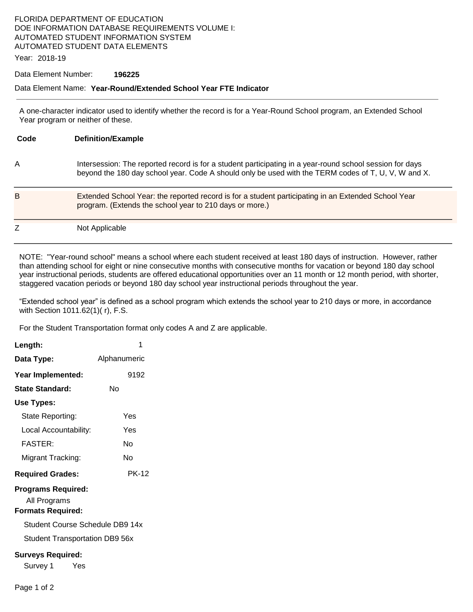## FLORIDA DEPARTMENT OF EDUCATION DOE INFORMATION DATABASE REQUIREMENTS VOLUME I: AUTOMATED STUDENT INFORMATION SYSTEM AUTOMATED STUDENT DATA ELEMENTS

Year: 2018-19

#### Data Element Number: **196225**

### Data Element Name: **Year-Round/Extended School Year FTE Indicator**

A one-character indicator used to identify whether the record is for a Year-Round School program, an Extended School Year program or neither of these.

| Code | <b>Definition/Example</b>                                                                                                                                                                                       |
|------|-----------------------------------------------------------------------------------------------------------------------------------------------------------------------------------------------------------------|
| Α    | Intersession: The reported record is for a student participating in a year-round school session for days<br>beyond the 180 day school year. Code A should only be used with the TERM codes of T, U, V, W and X. |
| B    | Extended School Year: the reported record is for a student participating in an Extended School Year<br>program. (Extends the school year to 210 days or more.)                                                  |
|      | Not Applicable                                                                                                                                                                                                  |

NOTE: "Year-round school" means a school where each student received at least 180 days of instruction. However, rather than attending school for eight or nine consecutive months with consecutive months for vacation or beyond 180 day school year instructional periods, students are offered educational opportunities over an 11 month or 12 month period, with shorter, staggered vacation periods or beyond 180 day school year instructional periods throughout the year.

"Extended school year" is defined as a school program which extends the school year to 210 days or more, in accordance with Section 1011.62(1)( r), F.S.

For the Student Transportation format only codes A and Z are applicable.

| Length:                                                               | 1            |  |  |  |  |
|-----------------------------------------------------------------------|--------------|--|--|--|--|
| Data Type:                                                            | Alphanumeric |  |  |  |  |
| Year Implemented:                                                     | 9192         |  |  |  |  |
| <b>State Standard:</b>                                                | N٥           |  |  |  |  |
| Use Types:                                                            |              |  |  |  |  |
| State Reporting:                                                      | Yes          |  |  |  |  |
| Local Accountability:                                                 | Yes          |  |  |  |  |
| <b>FASTER:</b>                                                        | N٥           |  |  |  |  |
| Migrant Tracking:                                                     | N٥           |  |  |  |  |
| <b>Required Grades:</b>                                               | <b>PK-12</b> |  |  |  |  |
| <b>Programs Required:</b><br>All Programs<br><b>Formats Required:</b> |              |  |  |  |  |
| Student Course Schedule DB9 14x                                       |              |  |  |  |  |
| <b>Student Transportation DB9 56x</b>                                 |              |  |  |  |  |
| <b>Surveys Required:</b><br>Survey 1<br>Yes                           |              |  |  |  |  |
| Page 1 of 2                                                           |              |  |  |  |  |